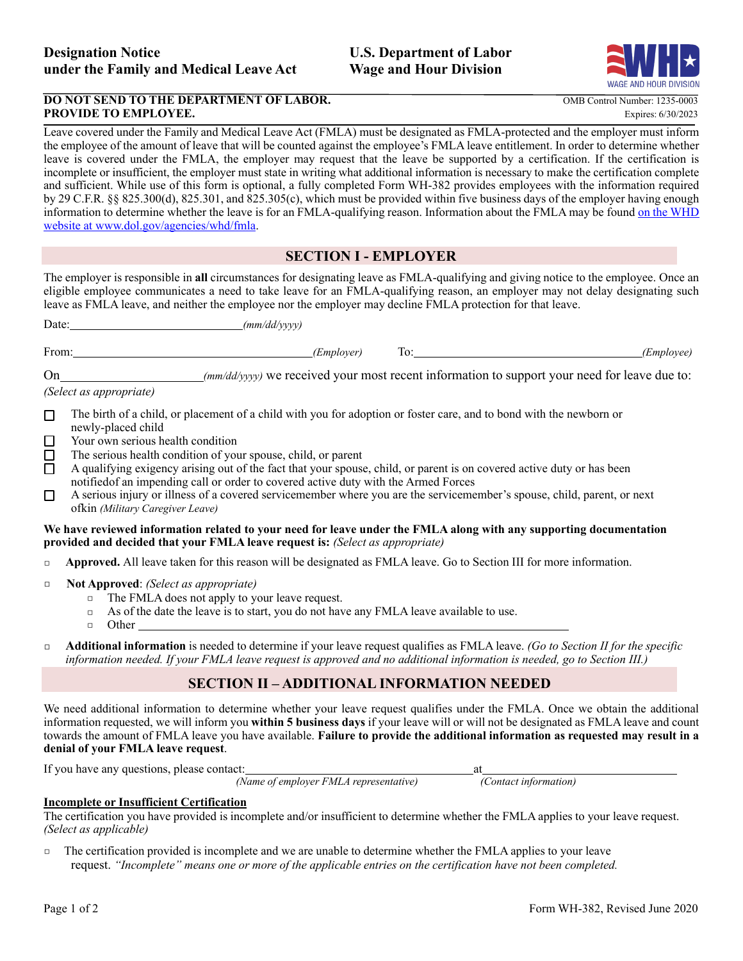

## **DO NOT SEND TO THE DEPARTMENT OF LABOR.** OMB Control Number: 1235-0003 **PROVIDE TO EMPLOYEE.** Expires: 6/30/2023

Leave covered under the Family and Medical Leave Act (FMLA) must be designated as FMLA-protected and the employer must inform the employee of the amount of leave that will be counted against the employee's FMLA leave entitlement. In order to determine whether leave is covered under the FMLA, the employer may request that the leave be supported by a certification. If the certification is incomplete or insufficient, the employer must state in writing what additional information is necessary to make the certification complete and sufficient. While use of this form is optional, a fully completed Form WH-382 provides employees with the information required by 29 C.F.R. §§ 825.300(d), 825.301, and 825.305(c), which must be provided within five business days of the employer having enough information to determine whether the leave is for an FMLA-qualifying reason. Information about the FMLA may be found on the WHD website at [www.dol.gov/agencies/whd/fmla.](http://www.dol.gov/agencies/whd/fmla)

# **SECTION I - EMPLOYER**

The employer is responsible in **all** circumstances for designating leave as FMLA-qualifying and giving notice to the employee. Once an eligible employee communicates a need to take leave for an FMLA-qualifying reason, an employer may not delay designating such leave as FMLA leave, and neither the employee nor the employer may decline FMLA protection for that leave.

| $-$<br>From: | .112<br>$- - -$<br>m<br>,,, |  |  |
|--------------|-----------------------------|--|--|
|--------------|-----------------------------|--|--|

On *(mm/dd/yyyy)* we received your most recent information to support your need for leave due to:

*(Select as appropriate)*

- □ The birth of a child, or placement of a child with you for adoption or foster care, and to bond with the newborn or newly-placed child
- □ Your own serious health condition
- □ The serious health condition of your spouse, child, or parent
- □ A qualifying exigency arising out of the fact that your spouse, child, or parent is on covered active duty or has been notifiedof an impending call or order to covered active duty with the Armed Forces
- □ A serious injury or illness of a covered servicemember where you are the servicemember's spouse, child, parent, or next ofkin *(Military Caregiver Leave)*

#### **We have reviewed information related to your need for leave under the FMLA along with any supporting documentation provided and decided that your FMLA leave request is:** *(Select as appropriate)*

- **Example 3 Approved.** All leave taken for this reason will be designated as FMLA leave. Go to Section III for more information.
- □ **Not Approved**: *(Select as appropriate)*
	- □ The FMLA does not apply to your leave request.
	- $\Box$  As of the date the leave is to start, you do not have any FMLA leave available to use.

□ Other

□ **Additional information** is needed to determine if your leave request qualifies as FMLA leave. *(Go to Section II for the specific information needed. If your FMLA leave request is approved and no additional information is needed, go to Section III.)*

# **SECTION II – ADDITIONAL INFORMATION NEEDED**

We need additional information to determine whether your leave request qualifies under the FMLA. Once we obtain the additional information requested, we will inform you **within 5 business days** if your leave will or will not be designated as FMLA leave and count towards the amount of FMLA leave you have available. **Failure to provide the additional information as requested may result in a denial of your FMLA leave request**.

If you have any questions, please contact: at

*(Name of employer FMLA representative) (Contact information)*

# **Incomplete or Insufficient Certification**

The certification you have provided is incomplete and/or insufficient to determine whether the FMLA applies to your leave request. *(Select as applicable)*

□ The certification provided is incomplete and we are unable to determine whether the FMLA applies to your leave request. *"Incomplete" means one or more of the applicable entries on the certification have not been completed.*